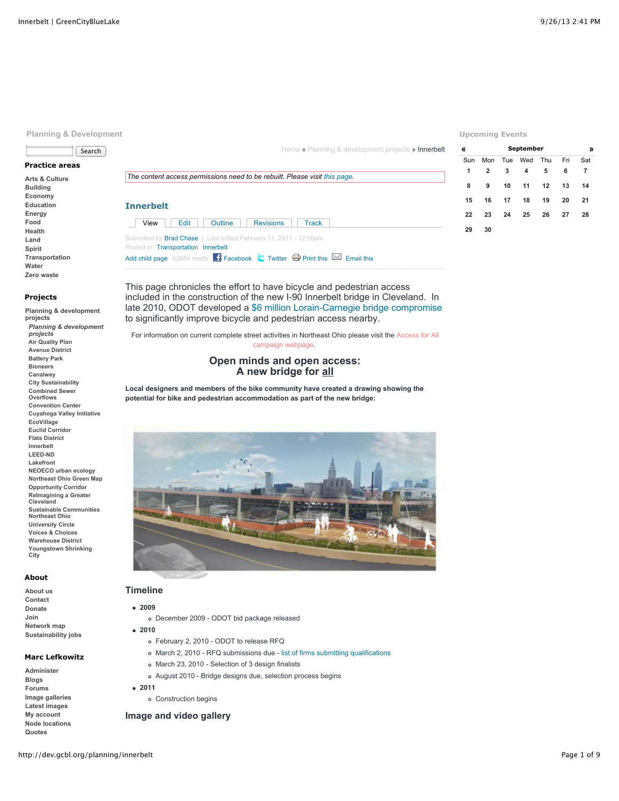# **Planning & Development**

# Search

# **Practice areas**

**[Arts & Culture](http://dev.gcbl.org/arts) [Building](http://dev.gcbl.org/building) [Economy](http://dev.gcbl.org/economy) [Education](http://dev.gcbl.org/education) [Energy](http://dev.gcbl.org/energy) [Food](http://dev.gcbl.org/food) [Health](http://dev.gcbl.org/health) [Land](http://dev.gcbl.org/land) [Spirit](http://dev.gcbl.org/spirit) [Transportation](http://dev.gcbl.org/transportation) [Water](http://dev.gcbl.org/water) [Zero waste](http://dev.gcbl.org/zero-waste)**

### **Projects**

**[Planning & development](http://dev.gcbl.org/planning-development-projects) projects** *[Planning & development](http://dev.gcbl.org/planning-development-projects) projects* **[Air Quality Plan](http://dev.gcbl.org/planning/regional-air-quality-planning) [Avenue District](http://dev.gcbl.org/planning/avenue-district) [Battery Park](http://dev.gcbl.org/planning/battery-park) [Bioneers](http://dev.gcbl.org/bioneers) [Canalway](http://dev.gcbl.org/planning/canalway) [City Sustainability](http://dev.gcbl.org/planning/city-sustainability) [Combined Sewer](http://dev.gcbl.org/planning/combined-sewer-overflows) Overflows [Convention Center](http://dev.gcbl.org/planning/convention-center) [Cuyahoga Valley Initiative](http://dev.gcbl.org/planning/cuyahoga-valley-initiative) [EcoVillage](http://dev.gcbl.org/planning/ecovillage) [Euclid Corridor](http://dev.gcbl.org/planning/euclid-corridor) [Flats District](http://dev.gcbl.org/planning/flats-district) [Innerbelt](http://dev.gcbl.org/planning/innerbelt) [LEED-ND](http://dev.gcbl.org/planning/leed-nd) [Lakefront](http://dev.gcbl.org/planning/lakefront) [NEOECO urban ecology](http://dev.gcbl.org/neoeco) [Northeast Ohio Green Map](http://dev.gcbl.org/northeast-ohio-green-map) [Opportunity Corridor](http://dev.gcbl.org/planning/opportunity-corridor) [ReImagining a Greater](http://dev.gcbl.org/reimagining) Cleveland [Sustainable Communities](http://www.gcbl.org/planning/sustainable-communities-northeast-ohio) Northeast Ohio [University Circle](http://dev.gcbl.org/planning/university-circle) [Voices & Choices](http://dev.gcbl.org/planning/voices-choices) [Warehouse District](http://dev.gcbl.org/planning/warehouse-district) [Youngstown Shrinking](http://dev.gcbl.org/planning/youngstown-shrinking-city) City**

# **About**

**[About us](http://dev.gcbl.org/about) [Contact](http://dev.gcbl.org/contact-us) [Donate](http://dev.gcbl.org/donate) [Join](http://dev.gcbl.org/join) [Network map](http://dev.gcbl.org/the-network) [Sustainability jobs](http://dev.gcbl.org/action-areas/jobs)**

## **Marc Lefkowitz**

**[Administer](http://dev.gcbl.org/admin) [Blogs](http://dev.gcbl.org/blog) [Forums](http://dev.gcbl.org/forum) [Image galleries](http://dev.gcbl.org/image) [Latest images](http://dev.gcbl.org/image/recent) [My account](http://dev.gcbl.org/user/marc-lefkowitz) [Node locations](http://dev.gcbl.org/map/node) [Quotes](http://dev.gcbl.org/quotes)**

[Home](http://dev.gcbl.org/) » [Planning & development projects](http://dev.gcbl.org/planning-development-projects) » Innerbelt

*The content access permissions need to be rebuilt. Please visit [this page.](http://dev.gcbl.org/admin/content/node-settings/rebuild)*

## **Innerbelt**

| Innerbelt |                                     |         |                                                                                                                                                                 |              |  |
|-----------|-------------------------------------|---------|-----------------------------------------------------------------------------------------------------------------------------------------------------------------|--------------|--|
| $View$    | Edit                                | Outline | <b>Revisions</b>                                                                                                                                                | <b>Track</b> |  |
|           | Posted in: Transportation Innerbelt |         | Submitted by <b>Brad Chase</b>   Last edited February 11, 2011 - 12:56pm                                                                                        |              |  |
|           |                                     |         | Add child page 53884 reads $\begin{array}{ c c c c c c }\hline \text{F} & \text{Facebook} & \text{Twitter} & \text{Print this} \\\hline \end{array}$ Email this |              |  |

**[«](http://dev.gcbl.org/planning/innerbelt?mini=calendar%2F2013-08) [September](http://dev.gcbl.org/calendar/2013-09) [»](http://dev.gcbl.org/planning/innerbelt?mini=calendar%2F2013-10)** Sun Mon Tue Wed Thu Fri Sat **1 2 3 4 5 6 7 8 9 10 11 12 13 14 15 16 17 18 19 20 21 22 23 24 25 26 27 28 29 30**

**Upcoming Events**

This page chronicles the effort to have bicycle and pedestrian access included in the construction of the new I-90 Innerbelt bridge in Cleveland. In late 2010, ODOT developed a [\\$6 million Lorain-Carnegie bridge compromise](http://www.dot.state.oh.us/districts/D12/PlanningPrograms/Pages/Lorain-Carnegie(HopeMemorial)BikewayImprovements.aspx) to significantly improve bicycle and pedestrian access nearby.

For information on current complete str[eet activities in Northeast Ohio please visit the Access for All](http://www.gcbl.org/access) campaign webpage.

# **Open minds and open access: A new bridge for all**

**Local designers and members of the bike community have created a drawing showing the potential for bike and pedestrian accommodation as part of the new bridge:**



# **Timeline**

**2009**

**2010**

- December 2009 ODOT bid package released
- 
- February 2, 2010 ODOT to release RFQ
- March 2, 2010 RFQ submissions due - [list of firms submitting qualifications](http://dev.gcbl.org/planning/innerbelt#design-build)
- March 23, 2010 Selection of 3 design finalists
- August 2010 Bridge designs due, selection process begins
- **2011**
	- Construction begins

# **Image and video gallery**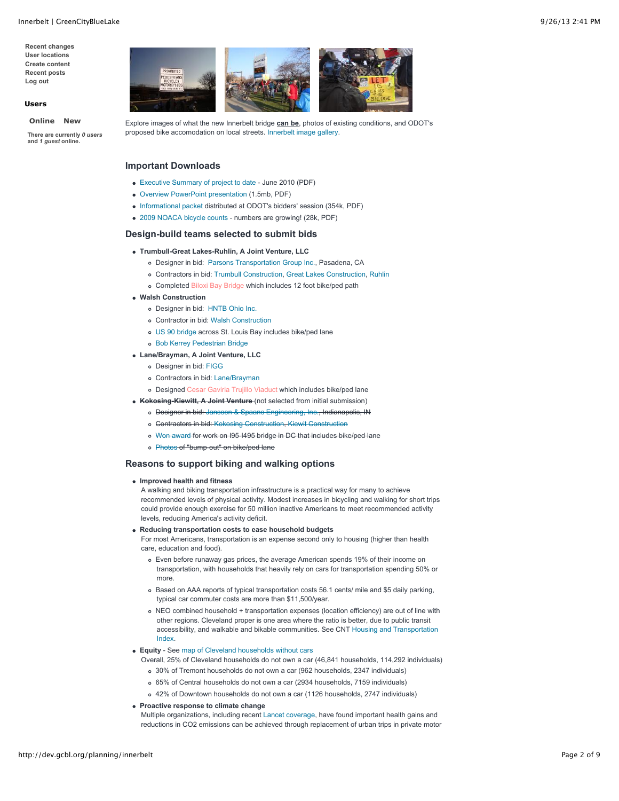**[Recent changes](http://dev.gcbl.org/recent_changes) [User locations](http://dev.gcbl.org/map/user) [Create content](http://dev.gcbl.org/node/add) [Recent posts](http://dev.gcbl.org/tracker) [Log out](http://dev.gcbl.org/logout)**

### **Users**

### **[Online](http://dev.gcbl.org/planning/innerbelt?quicktabs_2=0#quicktabs-2) [New](http://dev.gcbl.org/planning/innerbelt?quicktabs_2=1#quicktabs-2)**

**There are currently** *0 users* **and** *1 guest* **online.**



Explore images of what the new Innerbelt bridge **can be**, photos of existing conditions, and ODOT's proposed bike accomodation on local streets. [Innerbelt image gallery.](http://dev.gcbl.org/image/tid/133)

## **Important Downloads**

- [Executive Summary of project to date](http://dev.gcbl.org/system/files/20100629+Innerbelt+Bridge+Executive+Summary.pdf)  June 2010 (PDF)
- [Overview PowerPoint presentation](http://dev.gcbl.org/system/files/20100201+Bridge+Roadshow_general_sm.pdf) (1.5mb, PDF)
- [Informational packet](http://dev.gcbl.org/system/files/20100208+Bike+and+Pedestrian+Engineer+Handout_FINAL2.pdf) distributed at ODOT's bidders' session (354k, PDF)
- [2009 NOACA bicycle counts](http://dev.gcbl.org/system/files/NOACA+2009+Bike+count+database.pdf)  numbers are growing! (28k, PDF)

### **Design-build teams selected to submit bids**

- **Trumbull-Great Lakes-Ruhlin, A Joint Venture, LLC**
	- Designer in bid: [Parsons Transportation Group Inc.,](http://www.parsons.com/pages/default.aspx) Pasadena, CA
	- Contractors in bid: [Trumbull Construction,](http://www.pjdick.com/tpjwebsite.nsf/Trumbull/Home?openDocument) [Great Lakes Construction,](http://www.tglcc.com/) [Ruhlin](http://www.ruhlin.com/)
	- Completed [Biloxi Bay Bridge](http://www.parsons.com/projects/Pages/us90-biloxi-bay-bridge.aspx) which includes 12 foot bike/ped path
- **Walsh Construction**
	- Designer in bid: [HNTB Ohio Inc.](http://www.hntb.com/)
	- Contractor in bid: [Walsh Construction](http://www.walshgroup.com/)
	- [US 90 bridge](http://www.hntb.com/our-work/market/bridges-and-tunnels#/ajax/project/466) across St. Louis Bay includes bike/ped lane
	- [Bob Kerrey Pedestrian Bridge](http://www.hntb.com/our-work/market/bridges-and-tunnels#/ajax/project/521)
- **Lane/Brayman, A Joint Venture, LLC**
	- Designer in bid: [FIGG](http://www.figgbridge.com/)
	- Contractors in bid: [Lane/Brayman](http://www.braymanconstruction.com/)
	- o Designed [Cesar Gaviria Trujillo Viaduct](http://www.figgbridge.com/cesar_gaviria_trujillo_viaduct.html) which includes bike/ped lane
- **Kokosing-Kiewitt, A Joint Venture** (not selected from initial submission)
	- o Designer in bid: [Janssen & Spaans Engineering, Inc.,](http://www.jsengr.com/) Indianapolis, IN
	- Contractors in bid: [Kokosing Construction](http://www.kokosing.biz/default.aspx), [Kiewit Construction](http://www.kiewit.com/)
	- [Won award](http://www.jsengr.com/index.php/en/us27/101) for work on I95-I495 bridge in DC that includes bike/ped lane
	- o [Photos](http://www.flickr.com/photos/36400856@N04/3593808785) of "bump-out" on bike/ped lane

#### **Reasons to support biking and walking options**

**Improved health and fitness**

A walking and biking transportation infrastructure is a practical way for many to achieve recommended levels of physical activity. Modest increases in bicycling and walking for short trips could provide enough exercise for 50 million inactive Americans to meet recommended activity levels, reducing America's activity deficit.

**Reducing transportation costs to ease household budgets**

For most Americans, transportation is an expense second only to housing (higher than health care, education and food).

- Even before runaway gas prices, the average American spends 19% of their income on transportation, with households that heavily rely on cars for transportation spending 50% or more.
- Based on AAA reports of typical transportation costs 56.1 cents/ mile and \$5 daily parking, typical car commuter costs are more than \$11,500/year.
- NEO combined household + transportation expenses (location efficiency) are out of line with other regions. Cleveland proper is one area where the ratio is better, due to public transit [accessibility, and walkable and bikable communities. See CNT Housing and Transportation](http://htaindex.cnt.org/mapping_tool.php?region=Cleveland--Akron,%20OH) Index.
- **Equity** See [map of Cleveland households without cars](http://dev.gcbl.org/image/percentage-cleveland-households-without-car-neighborhood-boundary)
	- Overall, 25% of Cleveland households do not own a car (46,841 households, 114,292 individuals)
		- 30% of Tremont households do not own a car (962 households, 2347 individuals)
		- 65% of Central households do not own a car (2934 households, 7159 individuals)
		- 42% of Downtown households do not own a car (1126 households, 2747 individuals)

#### **Proactive response to climate change**

Multiple organizations, including recent [Lancet coverage,](http://www.thelancet.com/climate-change) have found important health gains and reductions in CO2 emissions can be achieved through replacement of urban trips in private motor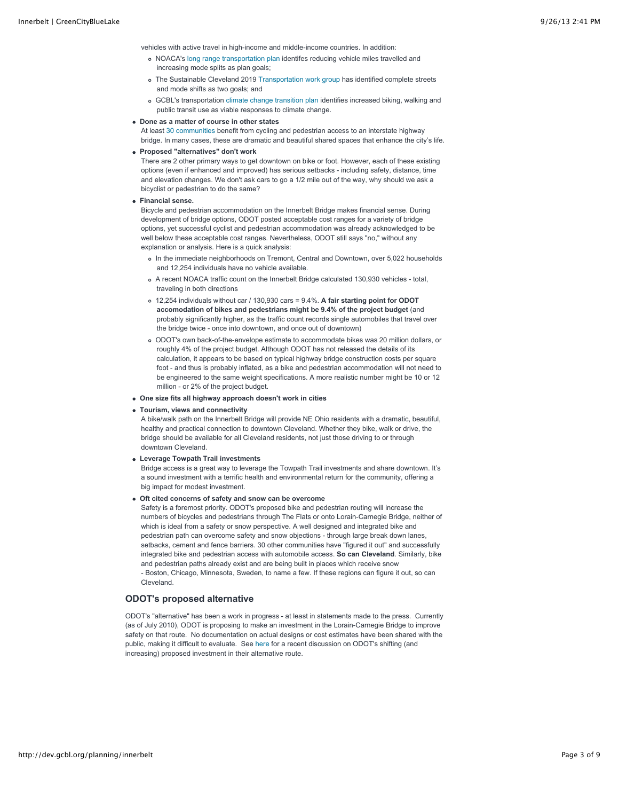vehicles with active travel in high-income and middle-income countries. In addition:

- NOACA's [long range transportation plan](http://www.noaca.org/connectgoals.html) identifes reducing vehicle miles travelled and increasing mode splits as plan goals;
- The Sustainable Cleveland 2019 [Transportation work group](http://clevelandsummit.ning.com/group/sustainabletransportation) has identified complete streets and mode shifts as two goals; and
- GCBL's transportation [climate change transition plan](http://dev.gcbl.org/energy/regional-agenda/climate-change/transition-pathways) identifies increased biking, walking and public transit use as viable responses to climate change.

### **Done as a matter of course in other states**

At least [30 communities](http://mobikefed.org/2006/05/bicycle-paths-on-interstate-freeway.php) benefit from cycling and pedestrian access to an interstate highway bridge. In many cases, these are dramatic and beautiful shared spaces that enhance the city's life.

**Proposed "alternatives" don't work**

There are 2 other primary ways to get downtown on bike or foot. However, each of these existing options (even if enhanced and improved) has serious setbacks - including safety, distance, time and elevation changes. We don't ask cars to go a 1/2 mile out of the way, why should we ask a bicyclist or pedestrian to do the same?

### **Financial sense.**

Bicycle and pedestrian accommodation on the Innerbelt Bridge makes financial sense. During development of bridge options, ODOT posted acceptable cost ranges for a variety of bridge options, yet successful cyclist and pedestrian accommodation was already acknowledged to be well below these acceptable cost ranges. Nevertheless, ODOT still says "no," without any explanation or analysis. Here is a quick analysis:

- In the immediate neighborhoods on Tremont, Central and Downtown, over 5,022 households and 12,254 individuals have no vehicle available.
- A recent NOACA traffic count on the Innerbelt Bridge calculated 130,930 vehicles total, traveling in both directions
- 12,254 individuals without car / 130,930 cars = 9.4%. **A fair starting point for ODOT accomodation of bikes and pedestrians might be 9.4% of the project budget** (and probably significantly higher, as the traffic count records single automobiles that travel over the bridge twice - once into downtown, and once out of downtown)
- ODOT's own back-of-the-envelope estimate to accommodate bikes was 20 million dollars, or roughly 4% of the project budget. Although ODOT has not released the details of its calculation, it appears to be based on typical highway bridge construction costs per square foot - and thus is probably inflated, as a bike and pedestrian accommodation will not need to be engineered to the same weight specifications. A more realistic number might be 10 or 12 million - or 2% of the project budget.
- **One size fits all highway approach doesn't work in cities**

#### **Tourism, views and connectivity**

A bike/walk path on the Innerbelt Bridge will provide NE Ohio residents with a dramatic, beautiful, healthy and practical connection to downtown Cleveland. Whether they bike, walk or drive, the bridge should be available for all Cleveland residents, not just those driving to or through downtown Cleveland.

#### **Leverage Towpath Trail investments**

Bridge access is a great way to leverage the Towpath Trail investments and share downtown. It's a sound investment with a terrific health and environmental return for the community, offering a big impact for modest investment.

#### **Oft cited concerns of safety and snow can be overcome**

Safety is a foremost priority. ODOT's proposed bike and pedestrian routing will increase the numbers of bicycles and pedestrians through The Flats or onto Lorain-Carnegie Bridge, neither of which is ideal from a safety or snow perspective. A well designed and integrated bike and pedestrian path can overcome safety and snow objections - through large break down lanes, setbacks, cement and fence barriers. 30 other communities have "figured it out" and successfully integrated bike and pedestrian access with automobile access. **So can Cleveland**. Similarly, bike and pedestrian paths already exist and are being built in places which receive snow - Boston, Chicago, Minnesota, Sweden, to name a few. If these regions can figure it out, so can Cleveland.

## **ODOT's proposed alternative**

ODOT's "alternative" has been a work in progress - at least in statements made to the press. Currently (as of July 2010), ODOT is proposing to make an investment in the Lorain-Carnegie Bridge to improve safety on that route. No documentation on actual designs or cost estimates have been shared with the public, making it difficult to evaluate. See [here](http://dev.gcbl.org/blog/marc-lefkowitz/odot-denies-bikepeds-bridge-did-campaign-succeed-moving-minds) for a recent discussion on ODOT's shifting (and increasing) proposed investment in their alternative route.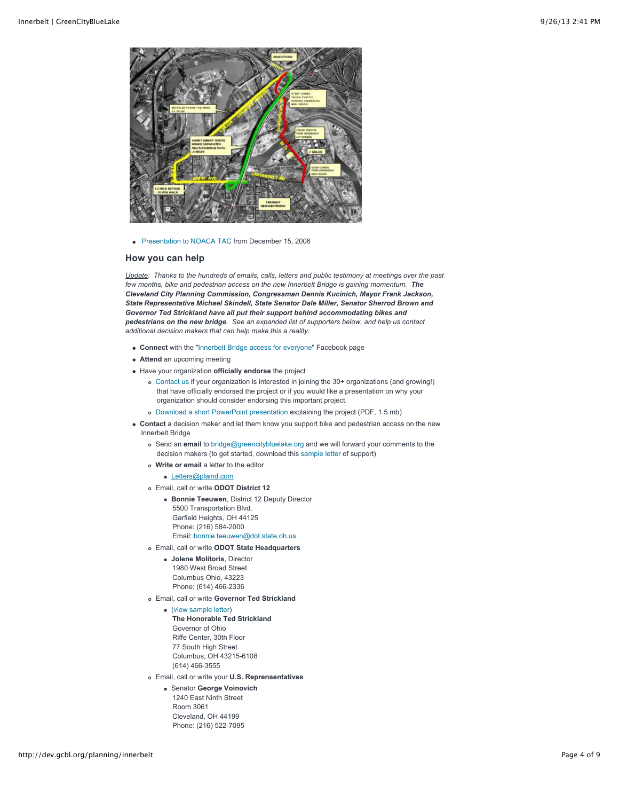

• [Presentation to NOACA TAC](http://dev.gcbl.org/system/files/20061215_NOACA_TAC_Bike_Accommodations.pdf) from December 15, 2006

### **How you can help**

*Update: Thanks to the hundreds of emails, calls, letters and public testimony at meetings over the past few months, bike and pedestrian access on the new Innerbelt Bridge is gaining momentum. The Cleveland City Planning Commission, Congressman Dennis Kucinich, Mayor Frank Jackson, State Representative Michael Skindell, State Senator Dale Miller, Senator Sherrod Brown and Governor Ted Strickland have all put their support behind accommodating bikes and pedestrians on the new bridge. See an expanded list of supporters below, and help us contact additional decision makers that can help make this a reality.*

- **Connect** with the ["Innerbelt Bridge access for everyone"](http://www.facebook.com/pages/Innerbelt-Bridge-access-for-everyone-including-bikes-and-pedestrians/183358026650) Facebook page
- **Attend** an upcoming meeting
- Have your organization **officially endorse** the project
	- [Contact us](mailto:%20bchase@cmnh.org) if your organization is interested in joining the 30+ organizations (and growing!) that have officially endorsed the project or if you would like a presentation on why your organization should consider endorsing this important project.
	- [Download a short PowerPoint presentation](http://dev.gcbl.org/system/files/20100201+Bridge+Roadshow_general_sm.pdf) explaining the project (PDF, 1.5 mb)
- **Contact** a decision maker and let them know you support bike and pedestrian access on the new Innerbelt Bridge
	- Send an **email** to [bridge@greencitybluelake.org](mailto:bridge@greencitybluelake.org) and we will forward your comments to the decision makers (to get started, download this [sample letter](http://dev.gcbl.org/system/files/support_bike_ped_bridge.pdf) of support)
	- **Write or email** a letter to the editor
		- [Letters@plaind.com](mailto:Letters@plaind.com)
	- Email, call or write **ODOT District 12**
		- **Bonnie Teeuwen**, District 12 Deputy Director 5500 Transportation Blvd. Garfield Heights, OH 44125 Phone: (216) 584-2000 Email: [bonnie.teeuwen@dot.state.oh.us](mailto:bonnie.teeuwen@dot.state.oh.us)
	- Email, call or write **ODOT State Headquarters**
		- **Jolene Molitoris**, Director 1980 West Broad Street Columbus Ohio, 43223 Phone: (614) 466-2336
	- Email, call or write **Governor Ted Strickland**
		- [\(view sample letter\)](http://dev.gcbl.org/system/files/support_bike_ped_bridge.pdf)
			- **The Honorable Ted Strickland** Governor of Ohio Riffe Center, 30th Floor 77 South High Street Columbus, OH 43215-6108 (614) 466-3555
	- Email, call or write your **U.S. Reprensentatives**
		- Senator **George Voinovich** 1240 East Ninth Street Room 3061 Cleveland, OH 44199 Phone: (216) 522-7095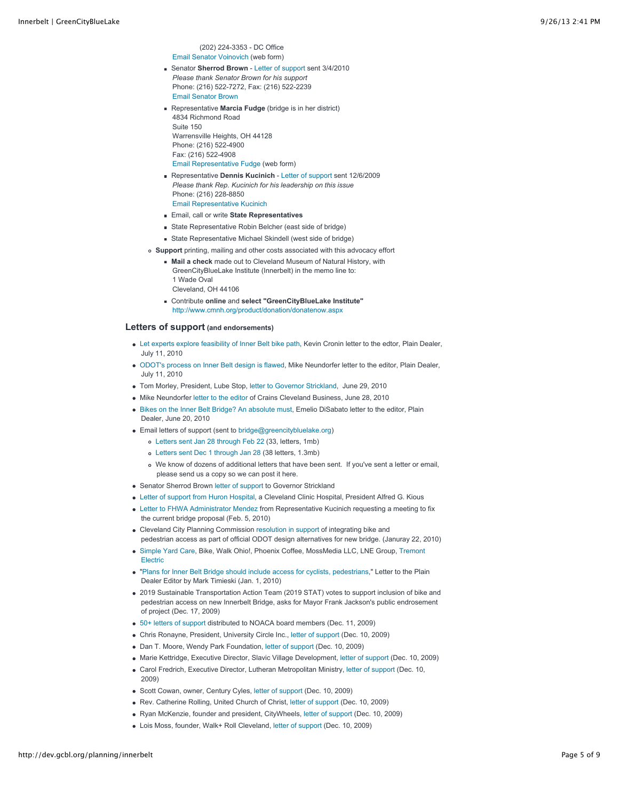(202) 224-3353 - DC Office [Email Senator Voinovich](http://voinovich.senate.gov/public/index.cfm?FuseAction=Contact.ContactForm) (web form)

- Senator **Sherrod Brown** - [Letter of support](http://dev.gcbl.org/system/files/Sherrod+Brown_Innerbelt+Bridge+Bike+Lane.pdf) sent 3/4/2010 *Please thank Senator Brown for his support* Phone: (216) 522-7272, Fax: (216) 522-2239 [Email Senator Brown](http://brown.senate.gov/contact/)
- Representative **Marcia Fudge** (bridge is in her district) 4834 Richmond Road Suite 150 Warrensville Heights, OH 44128 Phone: (216) 522-4900 Fax: (216) 522-4908 [Email Representative Fudge](https://forms.house.gov/fudge/contact-form.shtml) (web form)
- Representative **Dennis Kucinich** - [Letter of support](http://dev.gcbl.org/image/dennis-kucinich-letter-support-bike-and-pedestrian-access-new-bridge) sent 12/6/2009 *Please thank Rep. Kucinich for his leadership on this issue* Phone: (216) 228-8850 [Email Representative Kucinich](https://writerep.house.gov/writerep/welcome.shtml)
- Email, call or write **State Representatives**
- State Representative Robin Belcher (east side of bridge)
- State Representative Michael Skindell (west side of bridge)
- **Support** printing, mailing and other costs associated with this advocacy effort
	- **Mail a check** made out to Cleveland Museum of Natural History, with GreenCityBlueLake Institute (Innerbelt) in the memo line to: 1 Wade Oval Cleveland, OH 44106
	- Contribute **online** and **select "GreenCityBlueLake Institute"** <http://www.cmnh.org/product/donation/donatenow.aspx>

# **Letters of support (and endorsements)**

- [Let experts explore feasibility of Inner Belt bike path,](http://blog.cleveland.com/letters/2010/07/let_experts_explore_feasibilit.html) Kevin Cronin letter to the edtor, Plain Dealer, July 11, 2010
- [ODOT's process on Inner Belt design is flawed,](http://blog.cleveland.com/letters/2010/07/odots_process_on_inner_belt_de.html) Mike Neundorfer letter to the editor, Plain Dealer, July 11, 2010
- Tom Morley, President, Lube Stop, [letter to Governor Strickland,](http://dev.gcbl.org/system/files/Tom_Morley_Governor_Innerbelt.pdf) June 29, 2010
- Mike Neundorfer [letter to the editor](http://dev.gcbl.org/system/files/20100628_MikeNeundorferLTE_Crains.pdf) of Crains Cleveland Business, June 28, 2010
- [Bikes on the Inner Belt Bridge? An absolute must](http://blog.cleveland.com/letters/2010/06/bikes_on_the_inner_belt_bridge_1.html), Emelio DiSabato letter to the editor, Plain Dealer, June 20, 2010
- Email letters of support (sent to [bridge@greencitybluelake.org\)](mailto:bridge@greencitybluelake.org)
	- [Letters sent Jan 28 through Feb 22](http://dev.gcbl.org/system/files/20100222+Innerbelt+bike+emails+jan28toFeb22.pdf) (33, letters, 1mb)
	- [Letters sent Dec 1 through Jan 28](http://dev.gcbl.org/system/files/20100128+Innerbelt+bike+emails.pdf) (38 letters, 1.3mb)
	- We know of dozens of additional letters that have been sent. If you've sent a letter or email, please send us a copy so we can post it here.
- Senator Sherrod Brown [letter of support](http://dev.gcbl.org/system/files/Sherrod+Brown_Innerbelt+Bridge+Bike+Lane.pdf) to Governor Strickland
- [Letter of support from Huron Hospital](http://dev.gcbl.org/system/files/HuronHospital_Bridge_Support.pdf), a Cleveland Clinic Hospital, President Alfred G. Kious
- [Letter to FHWA Administrator Mendez](http://dev.gcbl.org/system/files/100205+FHWA+Innerbelt+Bridge.PDF) from Representative Kucinich requesting a meeting to fix the current bridge proposal (Feb. 5, 2010)
- Cleveland City Planning Commission [resolution in support](http://dev.gcbl.org/planning/innerbelt/city-planning-commission-resolution-support-bikes-and-pedestrians) of integrating bike and pedestrian access as part of official ODOT design alternatives for new bridge. (Januray 22, 2010)
- [Simple Yard Care](http://www.simpleyardcare.com/)[, Bike, Walk Ohio!, Phoenix Coffee, MossMedia LLC, LNE Group, Tremont](http://www.greennpower.com/) Electric
- "[Plans for Inner Belt Bridge should include access for cyclists, pedestrians,](http://blog.cleveland.com/letters/2010/01/plans_for_inner_belt_bridge_sh_1.html)" Letter to the Plain Dealer Editor by Mark Timieski (Jan. 1, 2010)
- 2019 Sustainable Transportation Action Team (2019 STAT) votes to support inclusion of bike and pedestrian access on new Innerbelt Bridge, asks for Mayor Frank Jackson's public endrosement of project (Dec. 17, 2009)
- [50+ letters of support](http://dev.gcbl.org/system/files/20091211_NOACA_public_comments.pdf) distributed to NOACA board members (Dec. 11, 2009)
- Chris Ronayne, President, University Circle Inc., [letter of support](http://dev.gcbl.org/system/files/Chris+Ronayne+Letter.pdf) (Dec. 10, 2009)
- Dan T. Moore, Wendy Park Foundation, [letter of support](http://dev.gcbl.org/system/files/WPF.PedestrianBikePath.12.10.09.pdf) (Dec. 10, 2009)
- Marie Kettridge, Executive Director, Slavic Village Development, [letter of support](http://dev.gcbl.org/system/files/Slavic+Village_NOACA+Innerbelt+Bridge+Letter.pdf) (Dec. 10, 2009)
- Carol Fredrich, Executive Director, Lutheran Metropolitan Ministry, [letter of support](http://dev.gcbl.org/system/files/Luthern_Letter+supporting+bike+access.pdf) (Dec. 10, 2009)
- Scott Cowan, owner, Century Cyles, [letter of support](http://dev.gcbl.org/system/files/Century_Cycles_Letter.pdf) (Dec. 10, 2009)
- Rev. Catherine Rolling, United Church of Christ, [letter of support](http://dev.gcbl.org/system/files/UCC_CLE+bridge+letter+12-09.pdf) (Dec. 10, 2009)
- Ryan McKenzie, founder and president, CityWheels, [letter of support](http://dev.gcbl.org/system/files/McKenzie_Innerbelt+bridge+support+letter.pdf) (Dec. 10, 2009)
- Lois Moss, founder, Walk+ Roll Cleveland, [letter of support](http://dev.gcbl.org/system/files/Lois_bridge_ltr.pdf) (Dec. 10, 2009)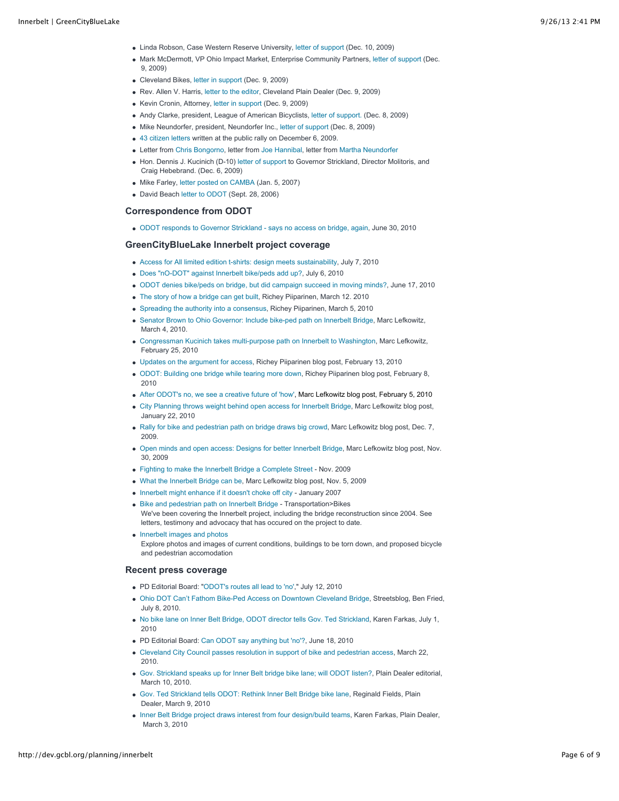- Linda Robson, Case Western Reserve University, [letter of support](http://dev.gcbl.org/system/files/Case+letter+of+support.pdf) (Dec. 10, 2009)
- Mark McDermott, VP Ohio Impact Market, Enterprise Community Partners, [letter of support \(](http://dev.gcbl.org/system/files/Enterprise_innerbelt_letter.pdf)Dec. 9, 2009)
- Cleveland Bikes, [letter in support](http://dev.gcbl.org/system/files/CLEBikes+NOACA+Letter+%28Dec+Mtg%2C+12+09%29.pdf) (Dec. 9, 2009)
- Rev. Allen V. Harris, [letter to the editor](http://blog.cleveland.com/letters/2009/12/inner_belti-90_bridge_should_i.html), Cleveland Plain Dealer (Dec. 9, 2009)
- Kevin Cronin, Attorney, [letter in support](http://dev.gcbl.org/system/files/Letter+to+NOACA+for+Dec+Mtg+%28Cronin%2C+12+09%29.pdf) (Dec. 9, 2009)
- Andy Clarke, president, League of American Bicyclists, [letter of support.](http://dev.gcbl.org/image/andy-clarke-letter) (Dec. 8, 2009)
- Mike Neundorfer, president, Neundorfer Inc., [letter of support](http://dev.gcbl.org/system/files/Neundorder_ltr.pdf) (Dec. 8, 2009)
- [43 citizen letters](http://www.greencitybluelake.org/images/transportation/support_bike_walk_bridge.pdf) written at the public rally on December 6, 2009.
- Letter from [Chris Bongorno,](http://www.greencitybluelake.org/images/transportation/Bongorno_Innerbelt_BikePed_ltr.pdf) letter from [Joe Hannibal,](http://www.greencitybluelake.org/images/transportation/bridge%20sans%20pedestrians.txt) letter from [Martha Neundorfer](http://dev.gcbl.org/system/files/20100308+Martha+Neundorfer.pdf)
- Hon. Dennis J. Kucinich (D-10) [letter of support](http://dev.gcbl.org/image/dennis-kucinich-letter-support-bike-and-pedestrian-access-new-bridge) to Governor Strickland, Director Molitoris, and Craig Hebebrand. (Dec. 6, 2009)
- $\bullet$  Mike Farley, [letter posted on CAMBA](http://www.camba.us/pn/index.php?name=News&file=article&sid=1026) (Jan. 5, 2007)
- David Beach [letter to ODOT](http://dev.gcbl.org/image/david-beach-letter-support-odot?size=_original) (Sept. 28, 2006)

# **Correspondence from ODOT**

[ODOT responds to Governor Strickland - says no access on bridge, again,](http://dev.gcbl.org/system/files/06-30+ODOT+Response+on+Innerbelt+Bike+Lane.pdf) June 30, 2010

### **GreenCityBlueLake Innerbelt project coverage**

- [Access for All limited edition t-shirts: design meets sustainability,](http://dev.gcbl.org/blog/marc-lefkowitz/access-all-limited-edition-t-shirts-design-meets-sustainability) July 7, 2010
- [Does "nO-DOT" against Innerbelt bike/peds add up?,](http://dev.gcbl.org/blog/marc-lefkowitz/does-nodot-innerbelt-bike-ped-path-add-up) July 6, 2010
- [ODOT denies bike/peds on bridge, but did campaign succeed in moving minds?,](http://dev.gcbl.org/blog/marc-lefkowitz/odot-denies-bikepeds-bridge-did-campaign-succeed-moving-minds) June 17, 2010
- [The story of how a bridge can get built,](http://dev.gcbl.org/blog/richey-piiparinen/once-upon-time) Richey Piiparinen, March 12. 2010
- [Spreading the authority into a consensus,](http://dev.gcbl.org/blog/richey-piiparinen/spreading-authority-consensus) Richey Piiparinen, March 5, 2010
- [Senator Brown to Ohio Governor: Include bike-ped path on Innerbelt Bridge](http://dev.gcbl.org/blog/marc-lefkowitz/senator-brown-ohio-governor-include-bike-ped-path-innerbelt-bridge), Marc Lefkowitz, March 4, 2010.
- [Congressman Kucinich takes multi-purpose path on Innerbelt to Washington,](http://dev.gcbl.org/blog/marc-lefkowitz/congressman-kucinich-takes-multi-purpose-path-innerbelt-washington) Marc Lefkowitz, February 25, 2010
- [Updates on the argument for access,](http://dev.gcbl.org/blog/richey-piiparinen/updates-argument-access) Richey Piiparinen blog post, February 13, 2010
- [ODOT: Building one bridge while tearing more down,](http://dev.gcbl.org/blog/richey-piiparinen/irony-odot-building-one-bridge-while-tearing-more-down) Richey Piiparinen blog post, February 8, 2010
- [After ODOT's no, we see a creative future of 'how',](http://dev.gcbl.org/blog/marc-lefkowitz/after-odots-no-we-see-creative-future-how) Marc Lefkowitz blog post, February 5, 2010
- [City Planning throws weight behind open access for Innerbelt Bridge](http://dev.gcbl.org/blog/marc-lefkowitz/city-planning-throws-weight-behind-open-access-innerbelt-bridge), Marc Lefkowitz blog post, January 22, 2010
- [Rally for bike and pedestrian path on bridge draws big crowd,](http://dev.gcbl.org/blog/marc-lefkowitz/rally-bikeped-path-bridge-draws-big-crowd) Marc Lefkowitz blog post, Dec. 7, 2009.
- [Open minds and open access: Designs for better Innerbelt Bridge,](http://dev.gcbl.org/blog/marc-lefkowitz/open-minds-and-open-access-how-build-bridge-all) Marc Lefkowitz blog post, Nov. 30, 2009
- [Fighting to make the Innerbelt Bridge a Complete Street](http://dev.gcbl.org/blog/marc-lefkowitz/fighting-make-innerbelt-bridge-complete-street) Nov. 2009
- [What the Innerbelt Bridge can be,](http://dev.gcbl.org/blog/marc-lefkowitz/what-innerbelt-bridge-can-be) Marc Lefkowitz blog post, Nov. 5, 2009
- [Innerbelt might enhance if it doesn't choke off city](http://dev.gcbl.org/blog/marc-lefkowitz/innerbelt-might-enhance-if-it-doesnt-choke-off-city)  January 2007
- [Bike and pedestrian path on Innerbelt Bridge](http://dev.gcbl.org/transportation/bikes/bike-lane-on-innerbelt-bridge) Transportation>Bikes We've been covering the Innerbelt project, including the bridge reconstruction since 2004. See letters, testimony and advocacy that has occured on the project to date.
- [Innerbelt images and photos](http://dev.gcbl.org/image/tid/133) Explore photos and images of current conditions, buildings to be torn down, and proposed bicycle and pedestrian accomodation

#### **Recent press coverage**

- PD Editorial Board: ["ODOT's routes all lead to 'no',](http://www.cleveland.com/opinion/index.ssf/2010/07/odots_routes_all_lead_to_no_ed.html)" July 12, 2010
- [Ohio DOT Can't Fathom Bike-Ped Access on Downtown Cleveland Bridge,](http://streetsblog.net/2010/07/08/ohio-dot-cant-fathom-bike-ped-access-on-downtown-cleveland-bridge/) Streetsblog, Ben Fried, July 8, 2010.
- [No bike lane on Inner Belt Bridge, ODOT director tells Gov. Ted Strickland,](http://blog.cleveland.com/metro/2010/07/no_bike_lane_on_inner_belt_bri.html) Karen Farkas, July 1, 2010
- PD Editorial Board: [Can ODOT say anything but 'no'?,](http://www.cleveland.com/opinion/index.ssf/2010/06/can_odot_say_anything_but_no_e.html) June 18, 2010
- [Cleveland City Council passes resolution in support of bike and pedestrian access,](http://dev.gcbl.org/system/files/Cleveland+Council+Resolution+381-10+%28Supporting+Bike-Ped+Access+on+Inerbelt+Bridge+3+21+10%29.pdf) March 22, 2010.
- [Gov. Strickland speaks up for Inner Belt bridge bike lane; will ODOT listen?](http://www.cleveland.com/opinion/index.ssf/2010/03/gov_strickland_speaks_up_for_i.html), Plain Dealer editorial, March 10, 2010.
- [Gov. Ted Strickland tells ODOT: Rethink Inner Belt Bridge bike lane,](http://www.cleveland.com/open/index.ssf/2010/03/at_governors_urging_odot_to_ag.html) Reginald Fields, Plain Dealer, March 9, 2010
- [Inner Belt Bridge project draws interest from four design/build teams,](http://blog.cleveland.com/metro/2010/03/inner_belt_bridge_project_draw.html) Karen Farkas, Plain Dealer, March 3, 2010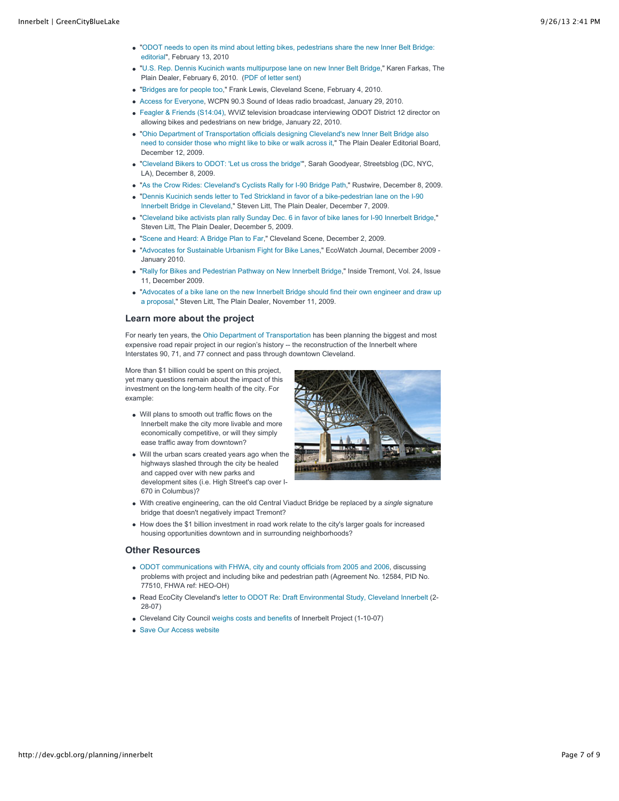- ["ODOT needs to open its mind about letting bikes, pedestrians share the new Inner Belt Bridge:](http://www.cleveland.com/opinion/index.ssf/2010/02/odot_needs_to_open_its_mind_ab.html) editorial", February 13, 2010
- "[U.S. Rep. Dennis Kucinich wants multipurpose lane on new Inner Belt Bridge,](http://blog.cleveland.com/metro/2010/02/us_rep_dennis_kucinich_wants_m.html)" Karen Farkas, The Plain Dealer, February 6, 2010. [\(PDF of letter sent\)](http://dev.gcbl.org/system/files/100205+FHWA+Innerbelt+Bridge.PDF)
- "[Bridges are for people too,](http://www.clevescene.com/scene-and-heard/archives/2010/02/04/bridges-are-for-people-too)" Frank Lewis, Cleveland Scene, February 4, 2010.
- [Access for Everyone,](http://www.wcpn.org/WCPN/soi/29501) WCPN 90.3 Sound of Ideas radio broadcast, January 29, 2010.
- [Feagler & Friends \(S14:04\),](http://www.wviz.org/WVIZ/feagler/29414) WVIZ television broadcase interviewing ODOT District 12 director on allowing bikes and pedestrians on new bridge, January 22, 2010.
- "Ohio Department of Transportation officials designing Cleveland's new Inner Belt Bridge also [need to consider those who might like to bike or walk across it," The Plain Dealer Editorial Boa](http://www.cleveland.com/opinion/index.ssf/2009/12/ohio_department_of_transportat.html)rd, December 12, 2009.
- "[Cleveland Bikers to ODOT: 'Let us cross the bridge'"](http://dc.streetsblog.org/2009/12/08/cleveland-bikers-to-odot-let-us-cross-the-bridge/), Sarah Goodyear, Streetsblog (DC, NYC, LA), December 8, 2009.
- "[As the Crow Rides: Cleveland's Cyclists Rally for I-90 Bridge Path,](http://rustwire.com/2009/12/08/as-the-crow-rides-clevelands-cyclists-rally-for-i-90-bridge-path/)" Rustwire, December 8, 2009.
- ["Dennis Kucinich sends letter to Ted Strickland in favor of a bike-pedestrian lane on the I-90](http://blog.cleveland.com/architecture/2009/12/kucinich_comes_out_in_favor_of.html) Innerbelt Bridge in Cleveland," Steven Litt, The Plain Dealer, December 7, 2009.
- "[Cleveland bike activists plan rally Sunday Dec. 6 in favor of bike lanes for I-90 Innerbelt Bridge,](http://blog.cleveland.com/architecture/2009/12/cleveland_bike_activists_plan.html)" Steven Litt, The Plain Dealer, December 5, 2009.
- "[Scene and Heard: A Bridge Plan to Far,](http://www.clevescene.com/scene-and-heard/archives/2009/12/02/a-bridge-plan-too-far)" Cleveland Scene, December 2, 2009.
- "[Advocates for Sustainable Urbanism Fight for Bike Lanes](http://www.ecowatch.org/pubs/dec09/advocates.htm)," EcoWatch Journal, December 2009 January 2010.
- "[Rally for Bikes and Pedestrian Pathway on New Innerbelt Bridge,](http://www.tremontwestdevelopment.com/)" Inside Tremont, Vol. 24, Issue 11, December 2009.
- ["Advocates of a bike lane on the new Innerbelt Bridge should find their own engineer and draw up](http://blog.cleveland.com/architecture/2009/11/advocates_of_a_bike_lane_on_th.html) a proposal," Steven Litt, The Plain Dealer, November 11, 2009.

### **Learn more about the project**

For nearly ten years, the [Ohio Department of Transportation](http://www.innerbelt.org/) has been planning the biggest and most expensive road repair project in our region's history -- the reconstruction of the Innerbelt where Interstates 90, 71, and 77 connect and pass through downtown Cleveland.

More than \$1 billion could be spent on this project, yet many questions remain about the impact of this investment on the long-term health of the city. For example:

- Will plans to smooth out traffic flows on the Innerbelt make the city more livable and more economically competitive, or will they simply ease traffic away from downtown?
- Will the urban scars created years ago when the highways slashed through the city be healed and capped over with new parks and development sites (i.e. High Street's cap over I-670 in Columbus)?



- With creative engineering, can the old Central Viaduct Bridge be replaced by a *single* signature bridge that doesn't negatively impact Tremont?
- How does the \$1 billion investment in road work relate to the city's larger goals for increased housing opportunities downtown and in surrounding neighborhoods?

### **Other Resources**

- [ODOT communications with FHWA, city and county officials from 2005 and 2006](http://dev.gcbl.org/system/files/ODOT-Officials+Docs.pdf), discussing problems with project and including bike and pedestrian path (Agreement No. 12584, PID No. 77510, FHWA ref: HEO-OH)
- Read EcoCity Cleveland's [letter to ODOT Re: Draft Environmental Study, Cleveland Innerbelt](http://www.greencitybluelake.org/images/transportation/Innerbelt_eis_comments-2-23-07.pdf) (2-28-07)
- Cleveland City Council [weighs costs and benefits](http://dev.gcbl.org/blog/marc-lefkowitz/costs-and-benefits-of-innerbelt-plan) of Innerbelt Project (1-10-07)
- [Save Our Access website](http://www.saveouraccess.com/)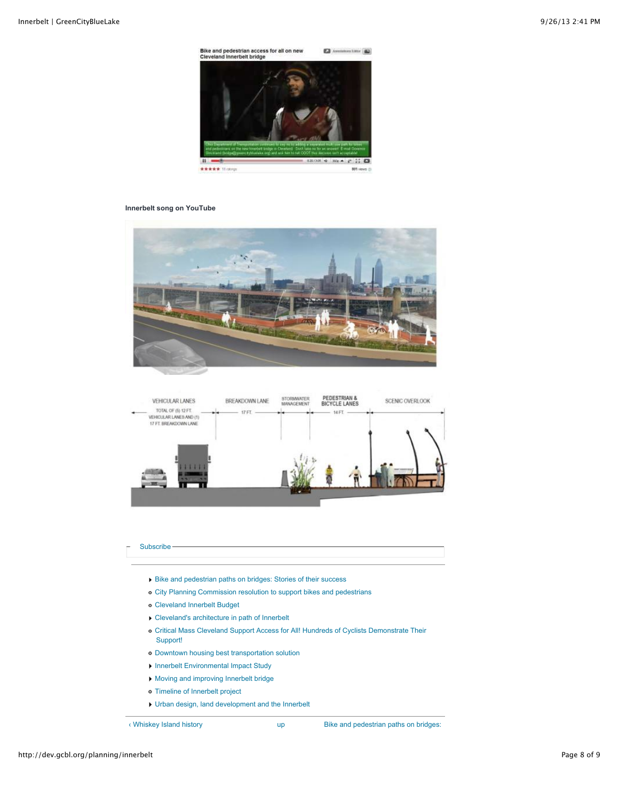Bike and pedestrian access for all on new<br>Cleveland Innerbelt bridge **E** Amateur Litter (

■ 0.00000 → 000 → 2° 11 □ ★★★★★ Ill.compt 801 views

#### **Innerbelt song on YouTube**

 $\mathbf{u}$ 



PEDESTRIAN &<br>BICYCLE LANES STORMWATER BREAKDOWN LANE SCENIC OVERLOOK VEHICULAR LANES TOTAL OF (5) 12 FT.<br>VEHICULAR LANES AND (1) 17 FT. 14 FT 17 FT. BREAKDOWN LANE

### [Subscribe](http://dev.gcbl.org/planning/innerbelt#)-

- [Bike and pedestrian paths on bridges: Stories of their success](http://dev.gcbl.org/planning/innerbelt/bike-and-pedestrian-paths-bridges-stories-their-success)
- [City Planning Commission resolution to support bikes and pedestrians](http://dev.gcbl.org/planning/innerbelt/city-planning-commission-resolution-support-bikes-and-pedestrians)
- [Cleveland Innerbelt Budget](http://dev.gcbl.org/planning/innerbelt/cleveland-innerbelt-budget)
- [Cleveland's architecture in path of Innerbelt](http://dev.gcbl.org/planning/innerbelt/clevelands-architecture-in-path-of-innerbelt)
- [Critical Mass Cleveland Support Access for All! Hundreds of Cyclists Demonstrate Their](http://dev.gcbl.org/planning/innerbelt/critical-mass-cleveland-support-access-all-hundreds-cyclists-demonstrate-their-support) Support!
- [Downtown housing best transportation solution](http://dev.gcbl.org/planning/innerbelt/downtown-housing-best-transportation-solution)
- **[Innerbelt Environmental Impact Study](http://dev.gcbl.org/planning/innerbelt/innerbelt-environmental-impact-study)**
- [Moving and improving Innerbelt bridge](http://dev.gcbl.org/planning/innerbelt/moving-and-improving-innerbelt-bridge)
- [Timeline of Innerbelt project](http://dev.gcbl.org/planning/innerbelt/historical-timeline-of-innerbelt-project)
- [Urban design, land development and the Innerbelt](http://dev.gcbl.org/planning/innerbelt/urban-design-land-development-and-the-innerbelt)

[‹ Whiskey Island history](http://dev.gcbl.org/planning/lakefront/whiskey-island/whiskey-island-history) [up](http://dev.gcbl.org/planning-development-projects) [Bike and pedestrian paths on bridges:](http://dev.gcbl.org/planning/innerbelt/bike-and-pedestrian-paths-bridges-stories-their-success)